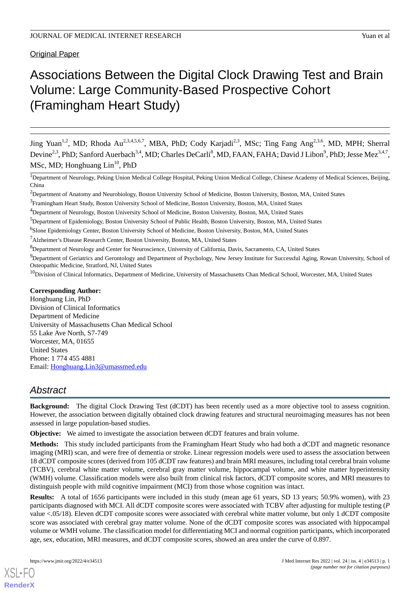## Original Paper

# Associations Between the Digital Clock Drawing Test and Brain Volume: Large Community-Based Prospective Cohort (Framingham Heart Study)

Jing Yuan<sup>1,2</sup>, MD; Rhoda Au<sup>2,3,4,5,6,7</sup>, MBA, PhD; Cody Karjadi<sup>2,3</sup>, MSc; Ting Fang Ang<sup>2,3,6</sup>, MD, MPH; Sherral Devine<sup>2,3</sup>, PhD; Sanford Auerbach<sup>3,4</sup>, MD; Charles DeCarli<sup>8</sup>, MD, FAAN, FAHA; David J Libon<sup>9</sup>, PhD; Jesse Mez<sup>3,4,7</sup>, MSc, MD; Honghuang  $\text{Lin}^{10}$ , PhD

<sup>1</sup>Department of Neurology, Peking Union Medical College Hospital, Peking Union Medical College, Chinese Academy of Medical Sciences, Beijing, China

<sup>2</sup>Department of Anatomy and Neurobiology, Boston University School of Medicine, Boston University, Boston, MA, United States

<sup>4</sup>Department of Neurology, Boston University School of Medicine, Boston University, Boston, MA, United States

<sup>6</sup>Slone Epidemiology Center, Boston University School of Medicine, Boston University, Boston, MA, United States

<sup>7</sup>Alzheimer's Disease Research Center, Boston University, Boston, MA, United States

<sup>8</sup>Department of Neurology and Center for Neuroscience, University of California, Davis, Sacramento, CA, United States

<sup>9</sup>Department of Geriatrics and Gerontology and Department of Psychology, New Jersey Institute for Successful Aging, Rowan University, School of Osteopathic Medicine, Stratford, NJ, United States

<sup>10</sup>Division of Clinical Informatics, Department of Medicine, University of Massachusetts Chan Medical School, Worcester, MA, United States

#### **Corresponding Author:**

Honghuang Lin, PhD Division of Clinical Informatics Department of Medicine University of Massachusetts Chan Medical School 55 Lake Ave North, S7-749 Worcester, MA, 01655 United States Phone: 1 774 455 4881 Email: [Honghuang.Lin3@umassmed.edu](mailto:Honghuang.Lin3@umassmed.edu)

# *Abstract*

**Background:** The digital Clock Drawing Test (dCDT) has been recently used as a more objective tool to assess cognition. However, the association between digitally obtained clock drawing features and structural neuroimaging measures has not been assessed in large population-based studies.

**Objective:** We aimed to investigate the association between dCDT features and brain volume.

**Methods:** This study included participants from the Framingham Heart Study who had both a dCDT and magnetic resonance imaging (MRI) scan, and were free of dementia or stroke. Linear regression models were used to assess the association between 18 dCDT composite scores (derived from 105 dCDT raw features) and brain MRI measures, including total cerebral brain volume (TCBV), cerebral white matter volume, cerebral gray matter volume, hippocampal volume, and white matter hyperintensity (WMH) volume. Classification models were also built from clinical risk factors, dCDT composite scores, and MRI measures to distinguish people with mild cognitive impairment (MCI) from those whose cognition was intact.

**Results:** A total of 1656 participants were included in this study (mean age 61 years, SD 13 years; 50.9% women), with 23 participants diagnosed with MCI. All dCDT composite scores were associated with TCBV after adjusting for multiple testing (*P* value <.05/18). Eleven dCDT composite scores were associated with cerebral white matter volume, but only 1 dCDT composite score was associated with cerebral gray matter volume. None of the dCDT composite scores was associated with hippocampal volume or WMH volume. The classification model for differentiating MCI and normal cognition participants, which incorporated age, sex, education, MRI measures, and dCDT composite scores, showed an area under the curve of 0.897.

<sup>&</sup>lt;sup>3</sup> Framingham Heart Study, Boston University School of Medicine, Boston University, Boston, MA, United States

<sup>5</sup>Department of Epidemiology, Boston University School of Public Health, Boston University, Boston, MA, United States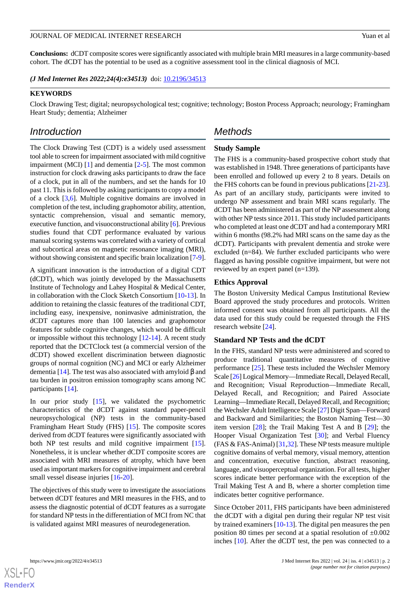**Conclusions:** dCDT composite scores were significantly associated with multiple brain MRI measures in a large community-based cohort. The dCDT has the potential to be used as a cognitive assessment tool in the clinical diagnosis of MCI.

*(J Med Internet Res 2022;24(4):e34513)* doi:  $10.2196/34513$ 

#### **KEYWORDS**

Clock Drawing Test; digital; neuropsychological test; cognitive; technology; Boston Process Approach; neurology; Framingham Heart Study; dementia; Alzheimer

## *Introduction*

The Clock Drawing Test (CDT) is a widely used assessment tool able to screen for impairment associated with mild cognitive impairment (MCI) [\[1](#page-9-0)] and dementia [\[2](#page-9-1)[-5\]](#page-9-2). The most common instruction for clock drawing asks participants to draw the face of a clock, put in all of the numbers, and set the hands for 10 past 11. This is followed by asking participants to copy a model of a clock [[3](#page-9-3),[6\]](#page-9-4). Multiple cognitive domains are involved in completion of the test, including graphomotor ability, attention, syntactic comprehension, visual and semantic memory, executive function, and visuoconstructional ability [[6\]](#page-9-4). Previous studies found that CDT performance evaluated by various manual scoring systems was correlated with a variety of cortical and subcortical areas on magnetic resonance imaging (MRI), without showing consistent and specific brain localization [[7-](#page-9-5)[9\]](#page-9-6).

A significant innovation is the introduction of a digital CDT (dCDT), which was jointly developed by the Massachusetts Institute of Technology and Lahey Hospital & Medical Center, in collaboration with the Clock Sketch Consortium [[10-](#page-10-0)[13](#page-10-1)]. In addition to retaining the classic features of the traditional CDT, including easy, inexpensive, noninvasive administration, the dCDT captures more than 100 latencies and graphomotor features for subtle cognitive changes, which would be difficult or impossible without this technology [[12](#page-10-2)[-14](#page-10-3)]. A recent study reported that the DCTClock test (a commercial version of the dCDT) showed excellent discrimination between diagnostic groups of normal cognition (NC) and MCI or early Alzheimer dementia [[14\]](#page-10-3). The test was also associated with amyloid β and tau burden in positron emission tomography scans among NC participants [\[14](#page-10-3)].

In our prior study  $[15]$  $[15]$ , we validated the psychometric characteristics of the dCDT against standard paper-pencil neuropsychological (NP) tests in the community-based Framingham Heart Study (FHS) [[15\]](#page-10-4). The composite scores derived from dCDT features were significantly associated with both NP test results and mild cognitive impairment [[15\]](#page-10-4). Nonetheless, it is unclear whether dCDT composite scores are associated with MRI measures of atrophy, which have been used as important markers for cognitive impairment and cerebral small vessel disease injuries [[16-](#page-10-5)[20](#page-10-6)].

The objectives of this study were to investigate the associations between dCDT features and MRI measures in the FHS, and to assess the diagnostic potential of dCDT features as a surrogate for standard NP tests in the differentiation of MCI from NC that is validated against MRI measures of neurodegeneration.

## *Methods*

#### **Study Sample**

The FHS is a community-based prospective cohort study that was established in 1948. Three generations of participants have been enrolled and followed up every 2 to 8 years. Details on the FHS cohorts can be found in previous publications [[21-](#page-10-7)[23\]](#page-10-8). As part of an ancillary study, participants were invited to undergo NP assessment and brain MRI scans regularly. The dCDT has been administered as part of the NP assessment along with other NP tests since 2011. This study included participants who completed at least one dCDT and had a contemporary MRI within 6 months (98.2% had MRI scans on the same day as the dCDT). Participants with prevalent dementia and stroke were excluded (n=84). We further excluded participants who were flagged as having possible cognitive impairment, but were not reviewed by an expert panel (n=139).

#### **Ethics Approval**

The Boston University Medical Campus Institutional Review Board approved the study procedures and protocols. Written informed consent was obtained from all participants. All the data used for this study could be requested through the FHS research website [[24\]](#page-10-9).

#### **Standard NP Tests and the dCDT**

In the FHS, standard NP tests were administered and scored to produce traditional quantitative measures of cognitive performance [\[25](#page-10-10)]. These tests included the Wechsler Memory Scale [[26](#page-10-11)] Logical Memory—Immediate Recall, Delayed Recall, and Recognition; Visual Reproduction—Immediate Recall, Delayed Recall, and Recognition; and Paired Associate Learning—Immediate Recall, Delayed Recall, and Recognition; the Wechsler Adult Intelligence Scale [[27](#page-10-12)] Digit Span—Forward and Backward and Similarities; the Boston Naming Test—30 item version [[28\]](#page-10-13); the Trail Making Test A and B [\[29](#page-10-14)]; the Hooper Visual Organization Test [[30\]](#page-10-15); and Verbal Fluency (FAS & FAS-Animal) [\[31](#page-10-16)[,32](#page-10-17)]. These NP tests measure multiple cognitive domains of verbal memory, visual memory, attention and concentration, executive function, abstract reasoning, language, and visuoperceptual organization. For all tests, higher scores indicate better performance with the exception of the Trail Making Test A and B, where a shorter completion time indicates better cognitive performance.

Since October 2011, FHS participants have been administered the dCDT with a digital pen during their regular NP test visit by trained examiners [[10](#page-10-0)[-13](#page-10-1)]. The digital pen measures the pen position 80 times per second at a spatial resolution of  $\pm 0.002$ inches [[10\]](#page-10-0). After the dCDT test, the pen was connected to a



**[RenderX](http://www.renderx.com/)**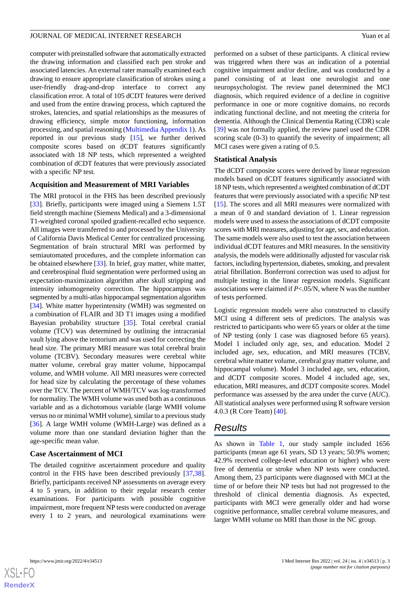computer with preinstalled software that automatically extracted the drawing information and classified each pen stroke and associated latencies. An external rater manually examined each drawing to ensure appropriate classification of strokes using a user-friendly drag-and-drop interface to correct any classification error. A total of 105 dCDT features were derived and used from the entire drawing process, which captured the strokes, latencies, and spatial relationships as the measures of drawing efficiency, simple motor functioning, information processing, and spatial reasoning [\(Multimedia Appendix 1\)](#page-9-7). As reported in our previous study [\[15](#page-10-4)], we further derived composite scores based on dCDT features significantly associated with 18 NP tests, which represented a weighted combination of dCDT features that were previously associated with a specific NP test.

#### **Acquisition and Measurement of MRI Variables**

The MRI protocol in the FHS has been described previously [[33\]](#page-10-18). Briefly, participants were imaged using a Siemens 1.5T field strength machine (Siemens Medical) and a 3-dimensional T1-weighted coronal spoiled gradient-recalled echo sequence. All images were transferred to and processed by the University of California Davis Medical Center for centralized processing. Segmentation of brain structural MRI was performed by semiautomated procedures, and the complete information can be obtained elsewhere [[33\]](#page-10-18). In brief, gray matter, white matter, and cerebrospinal fluid segmentation were performed using an expectation-maximization algorithm after skull stripping and intensity inhomogeneity correction. The hippocampus was segmented by a multi-atlas hippocampal segmentation algorithm [[34\]](#page-10-19). White matter hyperintensity (WMH) was segmented on a combination of FLAIR and 3D T1 images using a modified Bayesian probability structure [[35\]](#page-11-0). Total cerebral cranial volume (TCV) was determined by outlining the intracranial vault lying above the tentorium and was used for correcting the head size. The primary MRI measure was total cerebral brain volume (TCBV). Secondary measures were cerebral white matter volume, cerebral gray matter volume, hippocampal volume, and WMH volume. All MRI measures were corrected for head size by calculating the percentage of these volumes over the TCV. The percent of WMH/TCV was log-transformed for normality. The WMH volume was used both as a continuous variable and as a dichotomous variable (large WMH volume versus no or minimal WMH volume), similar to a previous study [[36\]](#page-11-1). A large WMH volume (WMH-Large) was defined as a volume more than one standard deviation higher than the age-specific mean value.

#### **Case Ascertainment of MCI**

The detailed cognitive ascertainment procedure and quality control in the FHS have been described previously [\[37](#page-11-2),[38\]](#page-11-3). Briefly, participants received NP assessments on average every 4 to 5 years, in addition to their regular research center examinations. For participants with possible cognitive impairment, more frequent NP tests were conducted on average every 1 to 2 years, and neurological examinations were

performed on a subset of these participants. A clinical review was triggered when there was an indication of a potential cognitive impairment and/or decline, and was conducted by a panel consisting of at least one neurologist and one neuropsychologist. The review panel determined the MCI diagnosis, which required evidence of a decline in cognitive performance in one or more cognitive domains, no records indicating functional decline, and not meeting the criteria for dementia. Although the Clinical Dementia Rating (CDR) scale [[39\]](#page-11-4) was not formally applied, the review panel used the CDR scoring scale (0-3) to quantify the severity of impairment; all MCI cases were given a rating of 0.5.

#### **Statistical Analysis**

The dCDT composite scores were derived by linear regression models based on dCDT features significantly associated with 18 NP tests, which represented a weighted combination of dCDT features that were previously associated with a specific NP test [[15\]](#page-10-4). The scores and all MRI measures were normalized with a mean of 0 and standard deviation of 1. Linear regression models were used to assess the associations of dCDT composite scores with MRI measures, adjusting for age, sex, and education. The same models were also used to test the association between individual dCDT features and MRI measures. In the sensitivity analysis, the models were additionally adjusted for vascular risk factors, including hypertension, diabetes, smoking, and prevalent atrial fibrillation. Bonferroni correction was used to adjust for multiple testing in the linear regression models. Significant associations were claimed if *P*<.05/N, where N was the number of tests performed.

Logistic regression models were also constructed to classify MCI using 4 different sets of predictors. The analysis was restricted to participants who were 65 years or older at the time of NP testing (only 1 case was diagnosed before 65 years). Model 1 included only age, sex, and education. Model 2 included age, sex, education, and MRI measures (TCBV, cerebral white matter volume, cerebral gray matter volume, and hippocampal volume). Model 3 included age, sex, education, and dCDT composite scores. Model 4 included age, sex, education, MRI measures, and dCDT composite scores. Model performance was assessed by the area under the curve (AUC). All statistical analyses were performed using R software version 4.0.3 (R Core Team) [[40\]](#page-11-5).

## *Results*

As shown in [Table 1,](#page-3-0) our study sample included 1656 participants (mean age 61 years, SD 13 years; 50.9% women; 42.9% received college-level education or higher) who were free of dementia or stroke when NP tests were conducted. Among them, 23 participants were diagnosed with MCI at the time of or before their NP tests but had not progressed to the threshold of clinical dementia diagnosis. As expected, participants with MCI were generally older and had worse cognitive performance, smaller cerebral volume measures, and larger WMH volume on MRI than those in the NC group.

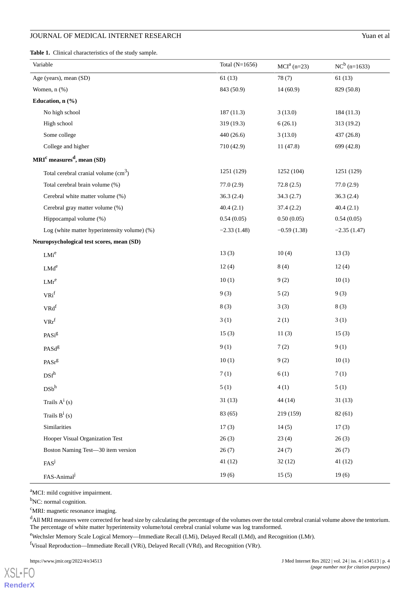<span id="page-3-0"></span>**Table 1.** Clinical characteristics of the study sample.

| Variable                                      | Total $(N=1656)$ | $MCIa$ (n=23) | $NC^b$ (n=1633) |
|-----------------------------------------------|------------------|---------------|-----------------|
| Age (years), mean (SD)                        | 61(13)           | 78(7)         | 61(13)          |
| Women, $n$ $(\%)$                             | 843 (50.9)       | 14(60.9)      | 829 (50.8)      |
| Education, n (%)                              |                  |               |                 |
| No high school                                | 187(11.3)        | 3(13.0)       | 184 (11.3)      |
| High school                                   | 319(19.3)        | 6(26.1)       | 313 (19.2)      |
| Some college                                  | 440 (26.6)       | 3(13.0)       | 437 (26.8)      |
| College and higher                            | 710 (42.9)       | 11(47.8)      | 699 (42.8)      |
| $MRIc$ measures <sup>d</sup> , mean (SD)      |                  |               |                 |
| Total cerebral cranial volume $(cm3)$         | 1251 (129)       | 1252 (104)    | 1251 (129)      |
| Total cerebral brain volume (%)               | 77.0(2.9)        | 72.8(2.5)     | 77.0(2.9)       |
| Cerebral white matter volume (%)              | 36.3(2.4)        | 34.3(2.7)     | 36.3(2.4)       |
| Cerebral gray matter volume (%)               | 40.4(2.1)        | 37.4(2.2)     | 40.4(2.1)       |
| Hippocampal volume (%)                        | 0.54(0.05)       | 0.50(0.05)    | 0.54(0.05)      |
| Log (white matter hyperintensity volume) (%)  | $-2.33(1.48)$    | $-0.59(1.38)$ | $-2.35(1.47)$   |
| Neuropsychological test scores, mean (SD)     |                  |               |                 |
| LMi <sup>e</sup>                              | 13(3)            | 10(4)         | 13(3)           |
| $LMd^e$                                       | 12(4)            | 8(4)          | 12(4)           |
| $LMr^e$                                       | 10(1)            | 9(2)          | 10(1)           |
| VRi <sup>f</sup>                              | 9(3)             | 5(2)          | 9(3)            |
| $VRd$ <sup>f</sup>                            | 8(3)             | 3(3)          | 8(3)            |
| $VRr^f$                                       | 3(1)             | 2(1)          | 3(1)            |
| $\text{PASi}^{\text{g}}$                      | 15(3)            | 11(3)         | 15(3)           |
| PASd <sup>g</sup>                             | 9(1)             | 7(2)          | 9(1)            |
| PASr <sup>g</sup>                             | 10(1)            | 9(2)          | 10(1)           |
| DSf <sup>h</sup>                              | 7(1)             | 6(1)          | 7(1)            |
| $\mathrm{D}\mathrm{S}\mathrm{b}^{\mathrm{h}}$ | 5(1)             | 4(1)          | 5(1)            |
| Trails $A^i(s)$                               | 31(13)           | 44(14)        | 31(13)          |
| Trails $B^i$ (s)                              | 83 (65)          | 219 (159)     | 82(61)          |
| Similarities                                  | 17(3)            | 14(5)         | 17(3)           |
| Hooper Visual Organization Test               | 26(3)            | 23(4)         | 26(3)           |
| Boston Naming Test-30 item version            | 26(7)            | 24(7)         | 26(7)           |
| FAS <sup>j</sup>                              | 41(12)           | 32(12)        | 41(12)          |
| FAS-Animal <sup>j</sup>                       | 19(6)            | 15(5)         | 19(6)           |

<sup>a</sup>MCI: mild cognitive impairment.

<sup>b</sup>NC: normal cognition.

<sup>c</sup>MRI: magnetic resonance imaging.

<sup>d</sup>All MRI measures were corrected for head size by calculating the percentage of the volumes over the total cerebral cranial volume above the tentorium. The percentage of white matter hyperintensity volume/total cerebral cranial volume was log transformed.

<sup>e</sup>Wechsler Memory Scale Logical Memory—Immediate Recall (LMi), Delayed Recall (LMd), and Recognition (LMr).

<sup>f</sup>Visual Reproduction—Immediate Recall (VRi), Delayed Recall (VRd), and Recognition (VRr).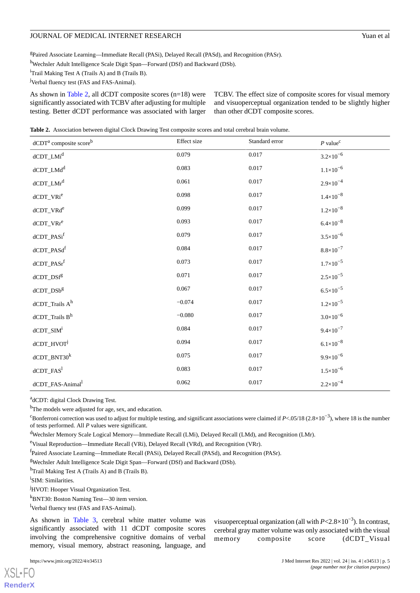<sup>g</sup>Paired Associate Learning—Immediate Recall (PASi), Delayed Recall (PASd), and Recognition (PASr).

<sup>h</sup>Wechsler Adult Intelligence Scale Digit Span—Forward (DSf) and Backward (DSb).

<sup>i</sup>Trail Making Test A (Trails A) and B (Trails B).

<sup>j</sup>Verbal fluency test (FAS and FAS-Animal).

As shown in [Table 2](#page-4-0), all dCDT composite scores (n=18) were significantly associated with TCBV after adjusting for multiple testing. Better dCDT performance was associated with larger TCBV. The effect size of composite scores for visual memory and visuoperceptual organization tended to be slightly higher than other dCDT composite scores.

<span id="page-4-0"></span>**Table 2.** Association between digital Clock Drawing Test composite scores and total cerebral brain volume.

| dCDT <sup>a</sup> composite score <sup>b</sup> | Effect size | Standard error | $P$ value <sup>c</sup> |
|------------------------------------------------|-------------|----------------|------------------------|
| dCDT_LMi <sup>d</sup>                          | 0.079       | 0.017          | $3.2 \times 10^{-6}$   |
| dCDT_LMd <sup>d</sup>                          | 0.083       | 0.017          | $1.1 \times 10^{-6}$   |
| dCDT_LMr <sup>d</sup>                          | 0.061       | 0.017          | $2.9 \times 10^{-4}$   |
| dCDT_VRi <sup>e</sup>                          | 0.098       | 0.017          | $1.4 \times 10^{-8}$   |
| dCDT_VRd <sup>e</sup>                          | 0.099       | 0.017          | $1.2 \times 10^{-8}$   |
| $dCDT_NRr^e$                                   | 0.093       | 0.017          | $6.4 \times 10^{-8}$   |
| dCDT_PASi <sup>f</sup>                         | 0.079       | 0.017          | $3.5 \times 10^{-6}$   |
| dCDT_PASdf                                     | 0.084       | 0.017          | $8.8 \times 10^{-7}$   |
| dCDT_PASr <sup>f</sup>                         | 0.073       | 0.017          | $1.7 \times 10^{-5}$   |
| $dCDT_D Sfg$                                   | 0.071       | 0.017          | $2.5 \times 10^{-5}$   |
| $dCDT$ _ $DSbg$                                | 0.067       | 0.017          | $6.5 \times 10^{-5}$   |
| $dCDT\_Trails\ A^h$                            | $-0.074$    | 0.017          | $1.2 \times 10^{-5}$   |
| $dCDT\_Trails\ B^h$                            | $-0.080$    | 0.017          | $3.0 \times 10^{-6}$   |
| $dCDT$ _SIM <sup>i</sup>                       | 0.084       | 0.017          | $9.4 \times 10^{-7}$   |
| dCDT_HVOT <sup>j</sup>                         | 0.094       | 0.017          | $6.1 \times 10^{-8}$   |
| $dCDT_BNT30^k$                                 | 0.075       | 0.017          | $9.9 \times 10^{-6}$   |
| $dCDT$ <sub>_FAS</sub> <sup>1</sup>            | 0.083       | 0.017          | $1.5 \times 10^{-6}$   |
| dCDT_FAS-Animal <sup>1</sup>                   | 0.062       | 0.017          | $2.2 \times 10^{-4}$   |

adCDT: digital Clock Drawing Test.

<sup>b</sup>The models were adjusted for age, sex, and education.

 $c^c$ Bonferroni correction was used to adjust for multiple testing, and significant associations were claimed if *P*<.05/18 (2.8×10<sup>-3</sup>), where 18 is the number of tests performed. All *P* values were significant.

<sup>d</sup>Wechsler Memory Scale Logical Memory—Immediate Recall (LMi), Delayed Recall (LMd), and Recognition (LMr).

<sup>f</sup>Paired Associate Learning—Immediate Recall (PASi), Delayed Recall (PASd), and Recognition (PASr).

<sup>g</sup>Wechsler Adult Intelligence Scale Digit Span—Forward (DSf) and Backward (DSb).

hTrail Making Test A (Trails A) and B (Trails B).

<sup>i</sup>SIM: Similarities.

<sup>j</sup>HVOT: Hooper Visual Organization Test.

<sup>k</sup>BNT30: Boston Naming Test—30 item version.

<sup>1</sup>Verbal fluency test (FAS and FAS-Animal).

As shown in [Table 3](#page-5-0), cerebral white matter volume was significantly associated with 11 dCDT composite scores involving the comprehensive cognitive domains of verbal memory, visual memory, abstract reasoning, language, and

[XSL](http://www.w3.org/Style/XSL)•FO **[RenderX](http://www.renderx.com/)**

visuoperceptual organization (all with *P*<2.8×10−3 ). In contrast, cerebral gray matter volume was only associated with the visual memory composite score (dCDT\_Visual

<sup>e</sup>Visual Reproduction—Immediate Recall (VRi), Delayed Recall (VRd), and Recognition (VRr).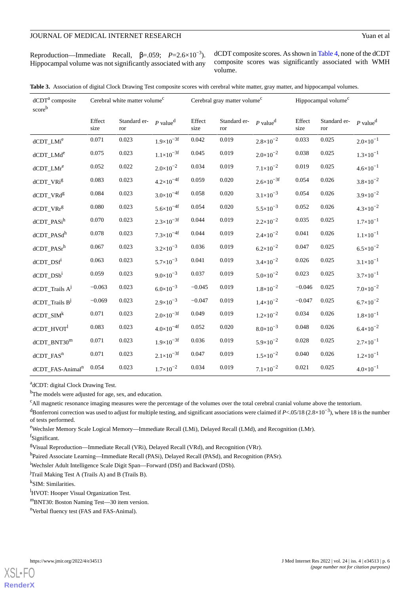| Reproduction—Immediate Recall, $\beta$ =.059; $P=2.6\times10^{-3}$ ). |  |  |
|-----------------------------------------------------------------------|--|--|
| Hippocampal volume was not significantly associated with any          |  |  |

dCDT composite scores. As shown in [Table 4,](#page-6-0) none of the dCDT composite scores was significantly associated with WMH volume.

<span id="page-5-0"></span>

|  |  |  | Table 3. Association of digital Clock Drawing Test composite scores with cerebral white matter, gray matter, and hippocampal volumes. |
|--|--|--|---------------------------------------------------------------------------------------------------------------------------------------|
|  |  |  |                                                                                                                                       |

| dCDT <sup>a</sup> composite<br>scoreb | Cerebral white matter volume <sup>c</sup> |                     | Cerebral gray matter volume <sup>c</sup> |                |                     | Hippocampal volume <sup>c</sup> |                |                     |                        |
|---------------------------------------|-------------------------------------------|---------------------|------------------------------------------|----------------|---------------------|---------------------------------|----------------|---------------------|------------------------|
|                                       | Effect<br>size                            | Standard er-<br>ror | $P$ value <sup>d</sup>                   | Effect<br>size | Standard er-<br>ror | $P$ value <sup>d</sup>          | Effect<br>size | Standard er-<br>ror | $P$ value <sup>d</sup> |
| dCDT_LMi <sup>e</sup>                 | 0.071                                     | 0.023               | $1.9\times10^{-3f}$                      | 0.042          | 0.019               | $2.8 \times 10^{-2}$            | 0.033          | 0.025               | $2.0 \times 10^{-1}$   |
| dCDT_LMd <sup>e</sup>                 | 0.075                                     | 0.023               | $1.1 \times 10^{-3f}$                    | 0.045          | 0.019               | $2.0 \times 10^{-2}$            | 0.038          | 0.025               | $1.3 \times 10^{-1}$   |
| dCDT_LMr <sup>e</sup>                 | 0.052                                     | 0.022               | $2.0 \times 10^{-2}$                     | 0.034          | 0.019               | $7.1 \times 10^{-2}$            | 0.019          | 0.025               | $4.6 \times 10^{-1}$   |
| dCDT_VRig                             | 0.083                                     | 0.023               | $4.2 \times 10^{-4f}$                    | 0.059          | 0.020               | $2.6 \times 10^{-3f}$           | 0.054          | 0.026               | $3.8 \times 10^{-2}$   |
| dCDT_VRd <sup>g</sup>                 | 0.084                                     | 0.023               | $3.0 \times 10^{-4f}$                    | 0.058          | 0.020               | $3.1 \times 10^{-3}$            | 0.054          | 0.026               | $3.9 \times 10^{-2}$   |
| dCDT_VRrg                             | 0.080                                     | 0.023               | $5.6 \times 10^{-4f}$                    | 0.054          | 0.020               | $5.5 \times 10^{-3}$            | 0.052          | 0.026               | $4.3 \times 10^{-2}$   |
| dCDT_PASi <sup>h</sup>                | 0.070                                     | 0.023               | $2.3 \times 10^{-3f}$                    | 0.044          | 0.019               | $2.2 \times 10^{-2}$            | 0.035          | 0.025               | $1.7 \times 10^{-1}$   |
| dCDT_PASd <sup>h</sup>                | 0.078                                     | 0.023               | $7.3 \times 10^{-4f}$                    | 0.044          | 0.019               | $2.4 \times 10^{-2}$            | 0.041          | 0.026               | $1.1 \times 10^{-1}$   |
| $dCDT$ _PAS $r^h$                     | 0.067                                     | 0.023               | $3.2 \times 10^{-3}$                     | 0.036          | 0.019               | $6.2 \times 10^{-2}$            | 0.047          | 0.025               | $6.5 \times 10^{-2}$   |
| $dCDT$ _ $DSfi$                       | 0.063                                     | 0.023               | $5.7 \times 10^{-3}$                     | 0.041          | 0.019               | $3.4 \times 10^{-2}$            | 0.026          | 0.025               | $3.1 \times 10^{-1}$   |
| $dCDT$ _ $DSb$ <sup>i</sup>           | 0.059                                     | 0.023               | $9.0 \times 10^{-3}$                     | 0.037          | 0.019               | $5.0 \times 10^{-2}$            | 0.023          | 0.025               | $3.7 \times 10^{-1}$   |
| $dCDT$ _Trails $A^j$                  | $-0.063$                                  | 0.023               | $6.0 \times 10^{-3}$                     | $-0.045$       | 0.019               | $1.8 \times 10^{-2}$            | $-0.046$       | 0.025               | $7.0 \times 10^{-2}$   |
| dCDT_Trails B <sup>j</sup>            | $-0.069$                                  | 0.023               | $2.9 \times 10^{-3}$                     | $-0.047$       | 0.019               | $1.4 \times 10^{-2}$            | $-0.047$       | 0.025               | $6.7\times10^{-2}$     |
| $dCDT$ _SIM $k$                       | 0.071                                     | 0.023               | $2.0 \times 10^{-3f}$                    | 0.049          | 0.019               | $1.2 \times 10^{-2}$            | 0.034          | 0.026               | $1.8 \times 10^{-1}$   |
| dCDT_HVOT                             | 0.083                                     | 0.023               | $4.0 \times 10^{-4f}$                    | 0.052          | 0.020               | $8.0\times10^{-3}$              | 0.048          | 0.026               | $6.4 \times 10^{-2}$   |
| $dCDT_BNT30m$                         | 0.071                                     | 0.023               | $1.9\times10^{-3f}$                      | 0.036          | 0.019               | $5.9 \times 10^{-2}$            | 0.028          | 0.025               | $2.7 \times 10^{-1}$   |
| dCDT_FAS <sup>n</sup>                 | 0.071                                     | 0.023               | $2.1 \times 10^{-3f}$                    | 0.047          | 0.019               | $1.5 \times 10^{-2}$            | 0.040          | 0.026               | $1.2 \times 10^{-1}$   |
| dCDT_FAS-Animal <sup>n</sup>          | 0.054                                     | 0.023               | $1.7 \times 10^{-2}$                     | 0.034          | 0.019               | $7.1 \times 10^{-2}$            | 0.021          | 0.025               | $4.0 \times 10^{-1}$   |

<sup>a</sup>dCDT: digital Clock Drawing Test.

<sup>b</sup>The models were adjusted for age, sex, and education.

<sup>c</sup>All magnetic resonance imaging measures were the percentage of the volumes over the total cerebral cranial volume above the tentorium.

dBonferroni correction was used to adjust for multiple testing, and significant associations were claimed if *P*<.05/18 (2.8×10<sup>-3</sup>), where 18 is the number of tests performed.

<sup>e</sup>Wechsler Memory Scale Logical Memory—Immediate Recall (LMi), Delayed Recall (LMd), and Recognition (LMr).

f<sub>Significant.</sub>

<sup>g</sup>Visual Reproduction—Immediate Recall (VRi), Delayed Recall (VRd), and Recognition (VRr).

<sup>h</sup>Paired Associate Learning—Immediate Recall (PASi), Delayed Recall (PASd), and Recognition (PASr).

<sup>i</sup>Wechsler Adult Intelligence Scale Digit Span—Forward (DSf) and Backward (DSb).

 $j$ Trail Making Test A (Trails A) and B (Trails B).

k SIM: Similarities.

<sup>l</sup>HVOT: Hooper Visual Organization Test.

<sup>m</sup>BNT30: Boston Naming Test—30 item version.

<sup>n</sup>Verbal fluency test (FAS and FAS-Animal).

**[RenderX](http://www.renderx.com/)**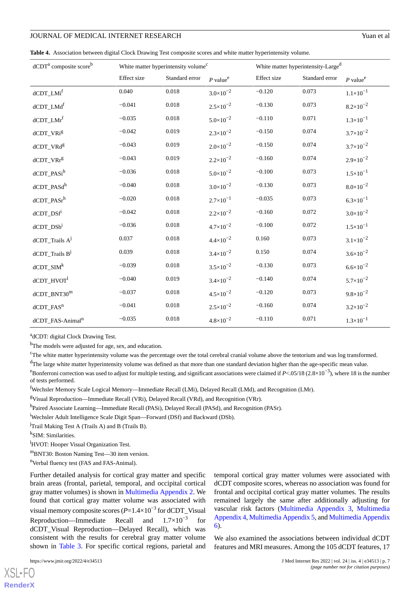<span id="page-6-0"></span>**Table 4.** Association between digital Clock Drawing Test composite scores and white matter hyperintensity volume.

| dCDT <sup>a</sup> composite score <sup>b</sup> | White matter hyperintensity volume <sup>c</sup> |                | White matter hyperintensity-Large <sup>d</sup> |             |                |                        |
|------------------------------------------------|-------------------------------------------------|----------------|------------------------------------------------|-------------|----------------|------------------------|
|                                                | Effect size                                     | Standard error | $P$ value <sup>e</sup>                         | Effect size | Standard error | $P$ value <sup>e</sup> |
| dCDT_LMi <sup>f</sup>                          | 0.040                                           | 0.018          | $3.0 \times 10^{-2}$                           | $-0.120$    | 0.073          | $1.1 \times 10^{-1}$   |
| $dCDT\_LMdf$                                   | $-0.041$                                        | 0.018          | $2.5 \times 10^{-2}$                           | $-0.130$    | 0.073          | $8.2 \times 10^{-2}$   |
| dCDT_LMr <sup>f</sup>                          | $-0.035$                                        | 0.018          | $5.0 \times 10^{-2}$                           | $-0.110$    | 0.071          | $1.3 \times 10^{-1}$   |
| dCDT_VRig                                      | $-0.042$                                        | 0.019          | $2.3 \times 10^{-2}$                           | $-0.150$    | 0.074          | $3.7 \times 10^{-2}$   |
| dCDT_VRdg                                      | $-0.043$                                        | 0.019          | $2.0 \times 10^{-2}$                           | $-0.150$    | 0.074          | $3.7 \times 10^{-2}$   |
| $dCDT_VRr^g$                                   | $-0.043$                                        | 0.019          | $2.2 \times 10^{-2}$                           | $-0.160$    | 0.074          | $2.9 \times 10^{-2}$   |
| dCDT_PASi <sup>h</sup>                         | $-0.036$                                        | 0.018          | $5.0 \times 10^{-2}$                           | $-0.100$    | 0.073          | $1.5 \times 10^{-1}$   |
| dCDT_PASdh                                     | $-0.040$                                        | 0.018          | $3.0 \times 10^{-2}$                           | $-0.130$    | 0.073          | $8.0 \times 10^{-2}$   |
| dCDT_PASr <sup>h</sup>                         | $-0.020$                                        | 0.018          | $2.7 \times 10^{-1}$                           | $-0.035$    | 0.073          | $6.3 \times 10^{-1}$   |
| $dCDT$ _ $DSfd$                                | $-0.042$                                        | 0.018          | $2.2 \times 10^{-2}$                           | $-0.160$    | 0.072          | $3.0 \times 10^{-2}$   |
| $dCDT$ _ $DSbi$                                | $-0.036$                                        | 0.018          | $4.7 \times 10^{-2}$                           | $-0.100$    | 0.072          | $1.5 \times 10^{-1}$   |
| dCDT_Trails AJ                                 | 0.037                                           | 0.018          | $4.4 \times 10^{-2}$                           | 0.160       | 0.073          | $3.1 \times 10^{-2}$   |
| $dCDT$ _Trails $B^j$                           | 0.039                                           | 0.018          | $3.4 \times 10^{-2}$                           | 0.150       | 0.074          | $3.6 \times 10^{-2}$   |
| $dCDT\_SIMk$                                   | $-0.039$                                        | 0.018          | $3.5 \times 10^{-2}$                           | $-0.130$    | 0.073          | $6.6 \times 10^{-2}$   |
| dCDT_HVOT                                      | $-0.040$                                        | 0.019          | $3.4 \times 10^{-2}$                           | $-0.140$    | 0.074          | $5.7 \times 10^{-2}$   |
| $dCDT\_BNT30m$                                 | $-0.037$                                        | 0.018          | $4.5 \times 10^{-2}$                           | $-0.120$    | 0.073          | $9.8 \times 10^{-2}$   |
| dCDT_FAS <sup>n</sup>                          | $-0.041$                                        | 0.018          | $2.5 \times 10^{-2}$                           | $-0.160$    | 0.074          | $3.2 \times 10^{-2}$   |
| dCDT_FAS-Animal <sup>n</sup>                   | $-0.035$                                        | 0.018          | $4.8 \times 10^{-2}$                           | $-0.110$    | 0.071          | $1.3 \times 10^{-1}$   |

adCDT: digital Clock Drawing Test.

<sup>b</sup>The models were adjusted for age, sex, and education.

<sup>c</sup>The white matter hyperintensity volume was the percentage over the total cerebral cranial volume above the tentorium and was log transformed.

<sup>d</sup>The large white matter hyperintensity volume was defined as that more than one standard deviation higher than the age-specific mean value.

<sup>e</sup>Bonferroni correction was used to adjust for multiple testing, and significant associations were claimed if *P*<.05/18 (2.8×10<sup>-3</sup>), where 18 is the number of tests performed.

<sup>f</sup>Wechsler Memory Scale Logical Memory—Immediate Recall (LMi), Delayed Recall (LMd), and Recognition (LMr).

 $gV$ isual Reproduction—Immediate Recall (VRi), Delayed Recall (VRd), and Recognition (VRr).

<sup>h</sup>Paired Associate Learning—Immediate Recall (PASi), Delayed Recall (PASd), and Recognition (PASr).

<sup>i</sup>Wechsler Adult Intelligence Scale Digit Span—Forward (DSf) and Backward (DSb).

<sup>j</sup>Trail Making Test A (Trails A) and B (Trails B).

k SIM: Similarities.

<sup>1</sup>HVOT: Hooper Visual Organization Test.

<sup>m</sup>BNT30: Boston Naming Test—30 item version.

<sup>n</sup>Verbal fluency test (FAS and FAS-Animal).

Further detailed analysis for cortical gray matter and specific brain areas (frontal, parietal, temporal, and occipital cortical gray matter volumes) is shown in [Multimedia Appendix 2.](#page-9-8) We found that cortical gray matter volume was associated with visual memory composite scores (*P*=1.4×10−3 for dCDT\_Visual Reproduction—Immediate Recall and  $1.7\times10^{-3}$ for dCDT\_Visual Reproduction—Delayed Recall), which was consistent with the results for cerebral gray matter volume shown in [Table 3.](#page-5-0) For specific cortical regions, parietal and

temporal cortical gray matter volumes were associated with dCDT composite scores, whereas no association was found for frontal and occipital cortical gray matter volumes. The results remained largely the same after additionally adjusting for vascular risk factors [\(Multimedia Appendix 3](#page-9-9), [Multimedia](#page-9-10) [Appendix 4](#page-9-10), [Multimedia Appendix 5](#page-9-11), and [Multimedia Appendix](#page-9-12) [6\)](#page-9-12).

We also examined the associations between individual dCDT features and MRI measures. Among the 105 dCDT features, 17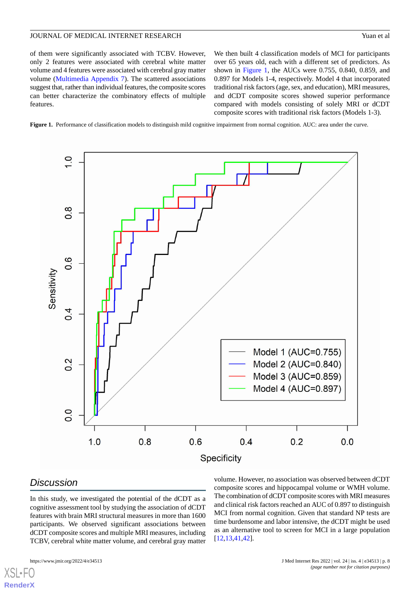of them were significantly associated with TCBV. However, only 2 features were associated with cerebral white matter volume and 4 features were associated with cerebral gray matter volume ([Multimedia Appendix 7\)](#page-9-13). The scattered associations suggest that, rather than individual features, the composite scores can better characterize the combinatory effects of multiple features.

We then built 4 classification models of MCI for participants over 65 years old, each with a different set of predictors. As shown in [Figure 1](#page-7-0), the AUCs were 0.755, 0.840, 0.859, and 0.897 for Models 1-4, respectively. Model 4 that incorporated traditional risk factors (age, sex, and education), MRI measures, and dCDT composite scores showed superior performance compared with models consisting of solely MRI or dCDT composite scores with traditional risk factors (Models 1-3).

<span id="page-7-0"></span>Figure 1. Performance of classification models to distinguish mild cognitive impairment from normal cognition. AUC: area under the curve.



## *Discussion*

In this study, we investigated the potential of the dCDT as a cognitive assessment tool by studying the association of dCDT features with brain MRI structural measures in more than 1600 participants. We observed significant associations between dCDT composite scores and multiple MRI measures, including TCBV, cerebral white matter volume, and cerebral gray matter

volume. However, no association was observed between dCDT composite scores and hippocampal volume or WMH volume. The combination of dCDT composite scores with MRI measures and clinical risk factors reached an AUC of 0.897 to distinguish MCI from normal cognition. Given that standard NP tests are time burdensome and labor intensive, the dCDT might be used as an alternative tool to screen for MCI in a large population [[12,](#page-10-2)[13,](#page-10-1)[41](#page-11-6)[,42](#page-11-7)].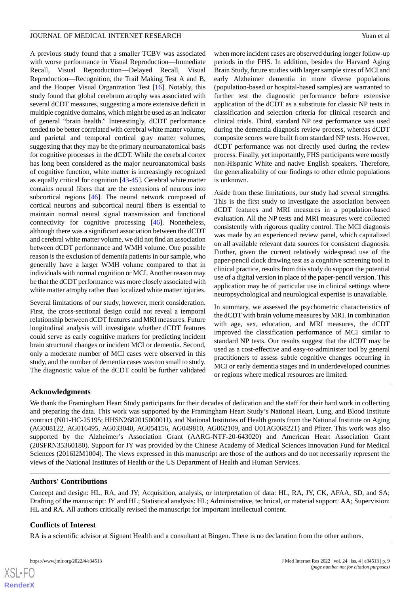A previous study found that a smaller TCBV was associated with worse performance in Visual Reproduction—Immediate Recall, Visual Reproduction—Delayed Recall, Visual Reproduction—Recognition, the Trail Making Test A and B, and the Hooper Visual Organization Test [[16\]](#page-10-5). Notably, this study found that global cerebrum atrophy was associated with several dCDT measures, suggesting a more extensive deficit in multiple cognitive domains, which might be used as an indicator of general "brain health." Interestingly, dCDT performance tended to be better correlated with cerebral white matter volume, and parietal and temporal cortical gray matter volumes, suggesting that they may be the primary neuroanatomical basis for cognitive processes in the dCDT. While the cerebral cortex has long been considered as the major neuroanatomical basis of cognitive function, white matter is increasingly recognized as equally critical for cognition [[43](#page-11-8)[-45](#page-11-9)]. Cerebral white matter contains neural fibers that are the extensions of neurons into subcortical regions [[46\]](#page-11-10). The neural network composed of cortical neurons and subcortical neural fibers is essential to maintain normal neural signal transmission and functional connectivity for cognitive processing [[46\]](#page-11-10). Nonetheless, although there was a significant association between the dCDT and cerebral white matter volume, we did not find an association between dCDT performance and WMH volume. One possible reason is the exclusion of dementia patients in our sample, who generally have a larger WMH volume compared to that in individuals with normal cognition or MCI. Another reason may be that the dCDT performance was more closely associated with white matter atrophy rather than localized white matter injuries.

Several limitations of our study, however, merit consideration. First, the cross-sectional design could not reveal a temporal relationship between dCDT features and MRI measures. Future longitudinal analysis will investigate whether dCDT features could serve as early cognitive markers for predicting incident brain structural changes or incident MCI or dementia. Second, only a moderate number of MCI cases were observed in this study, and the number of dementia cases was too small to study. The diagnostic value of the dCDT could be further validated when more incident cases are observed during longer follow-up periods in the FHS. In addition, besides the Harvard Aging Brain Study, future studies with larger sample sizes of MCI and early Alzheimer dementia in more diverse populations (population-based or hospital-based samples) are warranted to further test the diagnostic performance before extensive application of the dCDT as a substitute for classic NP tests in classification and selection criteria for clinical research and clinical trials. Third, standard NP test performance was used during the dementia diagnosis review process, whereas dCDT composite scores were built from standard NP tests. However, dCDT performance was not directly used during the review process. Finally, yet importantly, FHS participants were mostly non-Hispanic White and native English speakers. Therefore, the generalizability of our findings to other ethnic populations is unknown.

Aside from these limitations, our study had several strengths. This is the first study to investigate the association between dCDT features and MRI measures in a population-based evaluation. All the NP tests and MRI measures were collected consistently with rigorous quality control. The MCI diagnosis was made by an experienced review panel, which capitalized on all available relevant data sources for consistent diagnosis. Further, given the current relatively widespread use of the paper-pencil clock drawing test as a cognitive screening tool in clinical practice, results from this study do support the potential use of a digital version in place of the paper-pencil version. This application may be of particular use in clinical settings where neuropsychological and neurological expertise is unavailable.

In summary, we assessed the psychometric characteristics of the dCDT with brain volume measures by MRI. In combination with age, sex, education, and MRI measures, the dCDT improved the classification performance of MCI similar to standard NP tests. Our results suggest that the dCDT may be used as a cost-effective and easy-to-administer tool by general practitioners to assess subtle cognitive changes occurring in MCI or early dementia stages and in underdeveloped countries or regions where medical resources are limited.

## **Acknowledgments**

We thank the Framingham Heart Study participants for their decades of dedication and the staff for their hard work in collecting and preparing the data. This work was supported by the Framingham Heart Study's National Heart, Lung, and Blood Institute contract (N01-HC-25195; HHSN268201500001I), and National Institutes of Health grants from the National Institute on Aging (AG008122, AG016495, AG033040, AG054156, AG049810, AG062109, and U01AG068221) and Pfizer. This work was also supported by the Alzheimer's Association Grant (AARG-NTF-20-643020) and American Heart Association Grant (20SFRN35360180). Support for JY was provided by the Chinese Academy of Medical Sciences Innovation Fund for Medical Sciences (2016I2M1004). The views expressed in this manuscript are those of the authors and do not necessarily represent the views of the National Institutes of Health or the US Department of Health and Human Services.

## **Authors' Contributions**

Concept and design: HL, RA, and JY; Acquisition, analysis, or interpretation of data: HL, RA, JY, CK, AFAA, SD, and SA; Drafting of the manuscript: JY and HL; Statistical analysis: HL; Administrative, technical, or material support: AA; Supervision: HL and RA. All authors critically revised the manuscript for important intellectual content.

## **Conflicts of Interest**

RA is a scientific advisor at Signant Health and a consultant at Biogen. There is no declaration from the other authors.

 $XS$ -FO **[RenderX](http://www.renderx.com/)**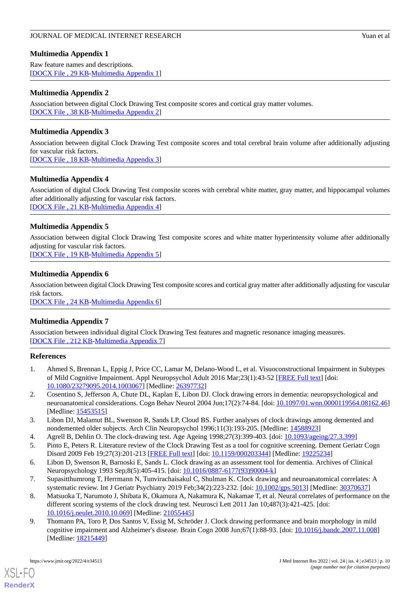## <span id="page-9-7"></span>**Multimedia Appendix 1**

Raw feature names and descriptions. [[DOCX File , 29 KB](https://jmir.org/api/download?alt_name=jmir_v24i4e34513_app1.docx&filename=10ce638a681082af8e05c2854ce57199.docx)-[Multimedia Appendix 1\]](https://jmir.org/api/download?alt_name=jmir_v24i4e34513_app1.docx&filename=10ce638a681082af8e05c2854ce57199.docx)

## <span id="page-9-8"></span>**Multimedia Appendix 2**

Association between digital Clock Drawing Test composite scores and cortical gray matter volumes. [[DOCX File , 38 KB](https://jmir.org/api/download?alt_name=jmir_v24i4e34513_app2.docx&filename=b5c728258d02bfce3c129737ee984e2f.docx)-[Multimedia Appendix 2\]](https://jmir.org/api/download?alt_name=jmir_v24i4e34513_app2.docx&filename=b5c728258d02bfce3c129737ee984e2f.docx)

## <span id="page-9-9"></span>**Multimedia Appendix 3**

Association between digital Clock Drawing Test composite scores and total cerebral brain volume after additionally adjusting for vascular risk factors. [[DOCX File , 18 KB](https://jmir.org/api/download?alt_name=jmir_v24i4e34513_app3.docx&filename=2f1bda177e20cd7c64c38915451a6c51.docx)-[Multimedia Appendix 3\]](https://jmir.org/api/download?alt_name=jmir_v24i4e34513_app3.docx&filename=2f1bda177e20cd7c64c38915451a6c51.docx)

<span id="page-9-10"></span>**Multimedia Appendix 4**

<span id="page-9-11"></span>Association of digital Clock Drawing Test composite scores with cerebral white matter, gray matter, and hippocampal volumes after additionally adjusting for vascular risk factors. [[DOCX File , 21 KB](https://jmir.org/api/download?alt_name=jmir_v24i4e34513_app4.docx&filename=4b47fe5df2e541581693cab447ca78b0.docx)-[Multimedia Appendix 4\]](https://jmir.org/api/download?alt_name=jmir_v24i4e34513_app4.docx&filename=4b47fe5df2e541581693cab447ca78b0.docx)

## **Multimedia Appendix 5**

Association between digital Clock Drawing Test composite scores and white matter hyperintensity volume after additionally adjusting for vascular risk factors.

<span id="page-9-12"></span>[[DOCX File , 19 KB](https://jmir.org/api/download?alt_name=jmir_v24i4e34513_app5.docx&filename=5a6452d3c50841920a9b73067f5ebfd0.docx)-[Multimedia Appendix 5\]](https://jmir.org/api/download?alt_name=jmir_v24i4e34513_app5.docx&filename=5a6452d3c50841920a9b73067f5ebfd0.docx)

## **Multimedia Appendix 6**

<span id="page-9-13"></span>Association between digital Clock Drawing Test composite scores and cortical gray matter after additionally adjusting for vascular risk factors.

[[DOCX File , 24 KB](https://jmir.org/api/download?alt_name=jmir_v24i4e34513_app6.docx&filename=3c91d65487a666d1c17caf9501978a9d.docx)-[Multimedia Appendix 6\]](https://jmir.org/api/download?alt_name=jmir_v24i4e34513_app6.docx&filename=3c91d65487a666d1c17caf9501978a9d.docx)

## **Multimedia Appendix 7**

<span id="page-9-0"></span>Association between individual digital Clock Drawing Test features and magnetic resonance imaging measures. [[DOCX File , 212 KB-Multimedia Appendix 7\]](https://jmir.org/api/download?alt_name=jmir_v24i4e34513_app7.docx&filename=176710b830e4683957153312c12a8dfe.docx)

## <span id="page-9-1"></span>**References**

- <span id="page-9-3"></span>1. Ahmed S, Brennan L, Eppig J, Price CC, Lamar M, Delano-Wood L, et al. Visuoconstructional Impairment in Subtypes of Mild Cognitive Impairment. Appl Neuropsychol Adult 2016 Mar;23(1):43-52 [\[FREE Full text\]](http://europepmc.org/abstract/MED/26397732) [doi: [10.1080/23279095.2014.1003067\]](http://dx.doi.org/10.1080/23279095.2014.1003067) [Medline: [26397732\]](http://www.ncbi.nlm.nih.gov/entrez/query.fcgi?cmd=Retrieve&db=PubMed&list_uids=26397732&dopt=Abstract)
- <span id="page-9-2"></span>2. Cosentino S, Jefferson A, Chute DL, Kaplan E, Libon DJ. Clock drawing errors in dementia: neuropsychological and neuroanatomical considerations. Cogn Behav Neurol 2004 Jun;17(2):74-84. [doi: [10.1097/01.wnn.0000119564.08162.46](http://dx.doi.org/10.1097/01.wnn.0000119564.08162.46)] [Medline: [15453515](http://www.ncbi.nlm.nih.gov/entrez/query.fcgi?cmd=Retrieve&db=PubMed&list_uids=15453515&dopt=Abstract)]
- <span id="page-9-4"></span>3. Libon DJ, Malamut BL, Swenson R, Sands LP, Cloud BS. Further analyses of clock drawings among demented and nondemented older subjects. Arch Clin Neuropsychol 1996;11(3):193-205. [Medline: [14588923\]](http://www.ncbi.nlm.nih.gov/entrez/query.fcgi?cmd=Retrieve&db=PubMed&list_uids=14588923&dopt=Abstract)
- <span id="page-9-5"></span>4. Agrell B, Dehlin O. The clock-drawing test. Age Ageing 1998;27(3):399-403. [doi: [10.1093/ageing/27.3.399\]](http://dx.doi.org/10.1093/ageing/27.3.399)
- 5. Pinto E, Peters R. Literature review of the Clock Drawing Test as a tool for cognitive screening. Dement Geriatr Cogn Disord 2009 Feb 19;27(3):201-213 [[FREE Full text](https://www.karger.com?DOI=10.1159/000203344)] [doi: [10.1159/000203344](http://dx.doi.org/10.1159/000203344)] [Medline: [19225234](http://www.ncbi.nlm.nih.gov/entrez/query.fcgi?cmd=Retrieve&db=PubMed&list_uids=19225234&dopt=Abstract)]
- <span id="page-9-6"></span>6. Libon D, Swenson R, Barnoski E, Sands L. Clock drawing as an assessment tool for dementia. Archives of Clinical Neuropsychology 1993 Sep;8(5):405-415. [doi: [10.1016/0887-6177\(93\)90004-k](http://dx.doi.org/10.1016/0887-6177(93)90004-k)]
- 7. Supasitthumrong T, Herrmann N, Tunvirachaisakul C, Shulman K. Clock drawing and neuroanatomical correlates: A systematic review. Int J Geriatr Psychiatry 2019 Feb;34(2):223-232. [doi: [10.1002/gps.5013\]](http://dx.doi.org/10.1002/gps.5013) [Medline: [30370637\]](http://www.ncbi.nlm.nih.gov/entrez/query.fcgi?cmd=Retrieve&db=PubMed&list_uids=30370637&dopt=Abstract)
- 8. Matsuoka T, Narumoto J, Shibata K, Okamura A, Nakamura K, Nakamae T, et al. Neural correlates of performance on the different scoring systems of the clock drawing test. Neurosci Lett 2011 Jan 10;487(3):421-425. [doi: [10.1016/j.neulet.2010.10.069](http://dx.doi.org/10.1016/j.neulet.2010.10.069)] [Medline: [21055445\]](http://www.ncbi.nlm.nih.gov/entrez/query.fcgi?cmd=Retrieve&db=PubMed&list_uids=21055445&dopt=Abstract)
- 9. Thomann PA, Toro P, Dos Santos V, Essig M, Schröder J. Clock drawing performance and brain morphology in mild cognitive impairment and Alzheimer's disease. Brain Cogn 2008 Jun;67(1):88-93. [doi: [10.1016/j.bandc.2007.11.008\]](http://dx.doi.org/10.1016/j.bandc.2007.11.008) [Medline: [18215449](http://www.ncbi.nlm.nih.gov/entrez/query.fcgi?cmd=Retrieve&db=PubMed&list_uids=18215449&dopt=Abstract)]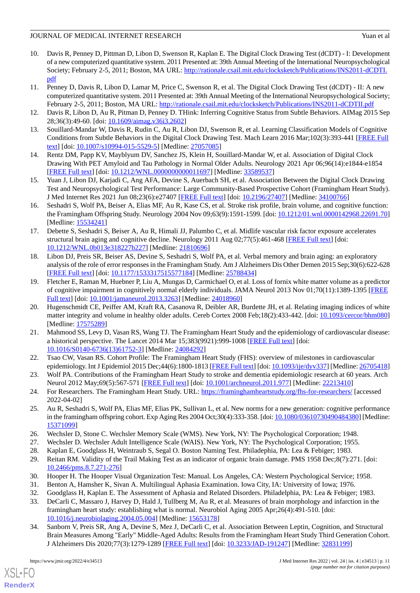#### JOURNAL OF MEDICAL INTERNET RESEARCH Yuan et al. Yuan et al.

- <span id="page-10-0"></span>10. Davis R, Penney D, Pittman D, Libon D, Swenson R, Kaplan E. The Digital Clock Drawing Test (dCDT) - I: Development of a new computerized quantitative system. 2011 Presented at: 39th Annual Meeting of the International Neuropsychological Society; February 2-5, 2011; Boston, MA URL: [http://rationale.csail.mit.edu/clocksketch/Publications/INS2011-dCDTI.](http://rationale.csail.mit.edu/clocksketch/Publications/INS2011-dCDTI.pdf) [pdf](http://rationale.csail.mit.edu/clocksketch/Publications/INS2011-dCDTI.pdf)
- 11. Penney D, Davis R, Libon D, Lamar M, Price C, Swenson R, et al. The Digital Clock Drawing Test (dCDT) II: A new computerized quantitative system. 2011 Presented at: 39th Annual Meeting of the International Neuropsychological Society; February 2-5, 2011; Boston, MA URL: <http://rationale.csail.mit.edu/clocksketch/Publications/INS2011-dCDTII.pdf>
- <span id="page-10-2"></span><span id="page-10-1"></span>12. Davis R, Libon D, Au R, Pitman D, Penney D. THink: Inferring Cognitive Status from Subtle Behaviors. AIMag 2015 Sep 28;36(3):49-60. [doi: [10.1609/aimag.v36i3.2602\]](http://dx.doi.org/10.1609/aimag.v36i3.2602)
- <span id="page-10-3"></span>13. Souillard-Mandar W, Davis R, Rudin C, Au R, Libon DJ, Swenson R, et al. Learning Classification Models of Cognitive Conditions from Subtle Behaviors in the Digital Clock Drawing Test. Mach Learn 2016 Mar;102(3):393-441 [[FREE Full](http://europepmc.org/abstract/MED/27057085) [text](http://europepmc.org/abstract/MED/27057085)] [doi: [10.1007/s10994-015-5529-5\]](http://dx.doi.org/10.1007/s10994-015-5529-5) [Medline: [27057085](http://www.ncbi.nlm.nih.gov/entrez/query.fcgi?cmd=Retrieve&db=PubMed&list_uids=27057085&dopt=Abstract)]
- <span id="page-10-4"></span>14. Rentz DM, Papp KV, Mayblyum DV, Sanchez JS, Klein H, Souillard-Mandar W, et al. Association of Digital Clock Drawing With PET Amyloid and Tau Pathology in Normal Older Adults. Neurology 2021 Apr 06;96(14):e1844-e1854 [[FREE Full text](http://europepmc.org/abstract/MED/33589537)] [doi: [10.1212/WNL.0000000000011697](http://dx.doi.org/10.1212/WNL.0000000000011697)] [Medline: [33589537\]](http://www.ncbi.nlm.nih.gov/entrez/query.fcgi?cmd=Retrieve&db=PubMed&list_uids=33589537&dopt=Abstract)
- <span id="page-10-5"></span>15. Yuan J, Libon DJ, Karjadi C, Ang AFA, Devine S, Auerbach SH, et al. Association Between the Digital Clock Drawing Test and Neuropsychological Test Performance: Large Community-Based Prospective Cohort (Framingham Heart Study). J Med Internet Res 2021 Jun 08;23(6):e27407 [\[FREE Full text\]](https://www.jmir.org/2021/6/e27407/) [doi: [10.2196/27407](http://dx.doi.org/10.2196/27407)] [Medline: [34100766\]](http://www.ncbi.nlm.nih.gov/entrez/query.fcgi?cmd=Retrieve&db=PubMed&list_uids=34100766&dopt=Abstract)
- 16. Seshadri S, Wolf PA, Beiser A, Elias MF, Au R, Kase CS, et al. Stroke risk profile, brain volume, and cognitive function: the Framingham Offspring Study. Neurology 2004 Nov 09;63(9):1591-1599. [doi: [10.1212/01.wnl.0000142968.22691.70](http://dx.doi.org/10.1212/01.wnl.0000142968.22691.70)] [Medline: [15534241](http://www.ncbi.nlm.nih.gov/entrez/query.fcgi?cmd=Retrieve&db=PubMed&list_uids=15534241&dopt=Abstract)]
- 17. Debette S, Seshadri S, Beiser A, Au R, Himali JJ, Palumbo C, et al. Midlife vascular risk factor exposure accelerates structural brain aging and cognitive decline. Neurology 2011 Aug 02;77(5):461-468 [[FREE Full text\]](http://europepmc.org/abstract/MED/21810696) [doi: [10.1212/WNL.0b013e318227b227](http://dx.doi.org/10.1212/WNL.0b013e318227b227)] [Medline: [21810696](http://www.ncbi.nlm.nih.gov/entrez/query.fcgi?cmd=Retrieve&db=PubMed&list_uids=21810696&dopt=Abstract)]
- 18. Libon DJ, Preis SR, Beiser AS, Devine S, Seshadri S, Wolf PA, et al. Verbal memory and brain aging: an exploratory analysis of the role of error responses in the Framingham Study. Am J Alzheimers Dis Other Demen 2015 Sep;30(6):622-628 [[FREE Full text](https://journals.sagepub.com/doi/10.1177/1533317515577184?url_ver=Z39.88-2003&rfr_id=ori:rid:crossref.org&rfr_dat=cr_pub%3dpubmed)] [doi: [10.1177/1533317515577184\]](http://dx.doi.org/10.1177/1533317515577184) [Medline: [25788434](http://www.ncbi.nlm.nih.gov/entrez/query.fcgi?cmd=Retrieve&db=PubMed&list_uids=25788434&dopt=Abstract)]
- <span id="page-10-6"></span>19. Fletcher E, Raman M, Huebner P, Liu A, Mungas D, Carmichael O, et al. Loss of fornix white matter volume as a predictor of cognitive impairment in cognitively normal elderly individuals. JAMA Neurol 2013 Nov 01;70(11):1389-1395 [[FREE](http://europepmc.org/abstract/MED/24018960) [Full text\]](http://europepmc.org/abstract/MED/24018960) [doi: [10.1001/jamaneurol.2013.3263](http://dx.doi.org/10.1001/jamaneurol.2013.3263)] [Medline: [24018960](http://www.ncbi.nlm.nih.gov/entrez/query.fcgi?cmd=Retrieve&db=PubMed&list_uids=24018960&dopt=Abstract)]
- <span id="page-10-7"></span>20. Hugenschmidt CE, Peiffer AM, Kraft RA, Casanova R, Deibler AR, Burdette JH, et al. Relating imaging indices of white matter integrity and volume in healthy older adults. Cereb Cortex 2008 Feb;18(2):433-442. [doi: [10.1093/cercor/bhm080](http://dx.doi.org/10.1093/cercor/bhm080)] [Medline: [17575289](http://www.ncbi.nlm.nih.gov/entrez/query.fcgi?cmd=Retrieve&db=PubMed&list_uids=17575289&dopt=Abstract)]
- <span id="page-10-8"></span>21. Mahmood SS, Levy D, Vasan RS, Wang TJ. The Framingham Heart Study and the epidemiology of cardiovascular disease: a historical perspective. The Lancet 2014 Mar 15;383(9921):999-1008 [\[FREE Full text](http://europepmc.org/abstract/MED/24084292)] [doi: [10.1016/S0140-6736\(13\)61752-3\]](http://dx.doi.org/10.1016/S0140-6736(13)61752-3) [Medline: [24084292](http://www.ncbi.nlm.nih.gov/entrez/query.fcgi?cmd=Retrieve&db=PubMed&list_uids=24084292&dopt=Abstract)]
- <span id="page-10-9"></span>22. Tsao CW, Vasan RS. Cohort Profile: The Framingham Heart Study (FHS): overview of milestones in cardiovascular epidemiology. Int J Epidemiol 2015 Dec; 44(6): 1800-1813 [\[FREE Full text\]](http://europepmc.org/abstract/MED/26705418) [doi: [10.1093/ije/dyv337](http://dx.doi.org/10.1093/ije/dyv337)] [Medline: [26705418](http://www.ncbi.nlm.nih.gov/entrez/query.fcgi?cmd=Retrieve&db=PubMed&list_uids=26705418&dopt=Abstract)]
- <span id="page-10-10"></span>23. Wolf PA. Contributions of the Framingham Heart Study to stroke and dementia epidemiologic research at 60 years. Arch Neurol 2012 May;69(5):567-571 [\[FREE Full text](http://europepmc.org/abstract/MED/22213410)] [doi: [10.1001/archneurol.2011.977\]](http://dx.doi.org/10.1001/archneurol.2011.977) [Medline: [22213410\]](http://www.ncbi.nlm.nih.gov/entrez/query.fcgi?cmd=Retrieve&db=PubMed&list_uids=22213410&dopt=Abstract)
- <span id="page-10-12"></span><span id="page-10-11"></span>24. For Researchers. The Framingham Heart Study. URL:<https://framinghamheartstudy.org/fhs-for-researchers/> [accessed 2022-04-02]
- <span id="page-10-14"></span><span id="page-10-13"></span>25. Au R, Seshadri S, Wolf PA, Elias MF, Elias PK, Sullivan L, et al. New norms for a new generation: cognitive performance in the framingham offspring cohort. Exp Aging Res 2004 Oct;30(4):333-358. [doi: [10.1080/03610730490484380\]](http://dx.doi.org/10.1080/03610730490484380) [Medline: [15371099](http://www.ncbi.nlm.nih.gov/entrez/query.fcgi?cmd=Retrieve&db=PubMed&list_uids=15371099&dopt=Abstract)]
- <span id="page-10-16"></span><span id="page-10-15"></span>26. Wechsler D, Stone C. Wechsler Memory Scale (WMS). New York, NY: The Psychological Corporation; 1948.
- <span id="page-10-17"></span>27. Wechsler D. Wechsler Adult Intelligence Scale (WAIS). New York, NY: The Psychological Corporation; 1955.
- <span id="page-10-18"></span>28. Kaplan E, Goodglass H, Weintraub S, Segal O. Boston Naming Test. Philadephia, PA: Lea & Febiger; 1983.
- 29. Reitan RM. Validity of the Trail Making Test as an indicator of organic brain damage. PMS 1958 Dec;8(7):271. [doi: [10.2466/pms.8.7.271-276](http://dx.doi.org/10.2466/pms.8.7.271-276)]
- <span id="page-10-19"></span>30. Hooper H. The Hooper Visual Organization Test: Manual. Los Angeles, CA: Western Psychological Service; 1958.
- 31. Benton A, Hamsher K, Sivan A. Multilingual Aphasia Examination. Iowa City, IA: University of Iowa; 1976.
- 32. Goodglass H, Kaplan E. The Assessment of Aphasia and Related Disorders. Philadelphia, PA: Lea & Febiger; 1983.
- 33. DeCarli C, Massaro J, Harvey D, Hald J, Tullberg M, Au R, et al. Measures of brain morphology and infarction in the framingham heart study: establishing what is normal. Neurobiol Aging 2005 Apr;26(4):491-510. [doi: [10.1016/j.neurobiolaging.2004.05.004](http://dx.doi.org/10.1016/j.neurobiolaging.2004.05.004)] [Medline: [15653178\]](http://www.ncbi.nlm.nih.gov/entrez/query.fcgi?cmd=Retrieve&db=PubMed&list_uids=15653178&dopt=Abstract)
- 34. Sanborn V, Preis SR, Ang A, Devine S, Mez J, DeCarli C, et al. Association Between Leptin, Cognition, and Structural Brain Measures Among "Early" Middle-Aged Adults: Results from the Framingham Heart Study Third Generation Cohort. J Alzheimers Dis 2020;77(3):1279-1289 [\[FREE Full text\]](http://europepmc.org/abstract/MED/32831199) [doi: [10.3233/JAD-191247](http://dx.doi.org/10.3233/JAD-191247)] [Medline: [32831199](http://www.ncbi.nlm.nih.gov/entrez/query.fcgi?cmd=Retrieve&db=PubMed&list_uids=32831199&dopt=Abstract)]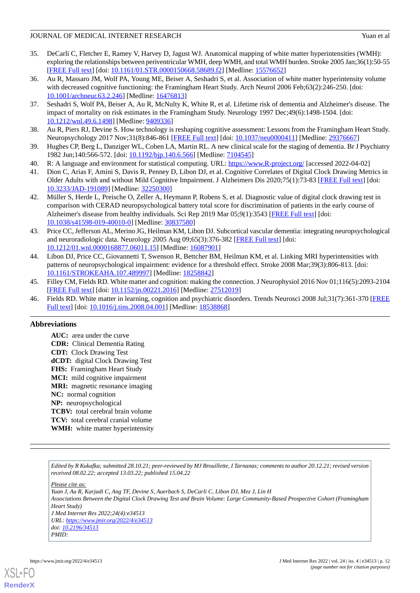#### JOURNAL OF MEDICAL INTERNET RESEARCH Yuan et al. Yuan et al.

- <span id="page-11-0"></span>35. DeCarli C, Fletcher E, Ramey V, Harvey D, Jagust WJ. Anatomical mapping of white matter hyperintensities (WMH): exploring the relationships between periventricular WMH, deep WMH, and total WMH burden. Stroke 2005 Jan;36(1):50-55 [[FREE Full text](http://europepmc.org/abstract/MED/15576652)] [doi: [10.1161/01.STR.0000150668.58689.f2](http://dx.doi.org/10.1161/01.STR.0000150668.58689.f2)] [Medline: [15576652](http://www.ncbi.nlm.nih.gov/entrez/query.fcgi?cmd=Retrieve&db=PubMed&list_uids=15576652&dopt=Abstract)]
- <span id="page-11-1"></span>36. Au R, Massaro JM, Wolf PA, Young ME, Beiser A, Seshadri S, et al. Association of white matter hyperintensity volume with decreased cognitive functioning: the Framingham Heart Study. Arch Neurol 2006 Feb;63(2):246-250. [doi: [10.1001/archneur.63.2.246\]](http://dx.doi.org/10.1001/archneur.63.2.246) [Medline: [16476813\]](http://www.ncbi.nlm.nih.gov/entrez/query.fcgi?cmd=Retrieve&db=PubMed&list_uids=16476813&dopt=Abstract)
- <span id="page-11-2"></span>37. Seshadri S, Wolf PA, Beiser A, Au R, McNulty K, White R, et al. Lifetime risk of dementia and Alzheimer's disease. The impact of mortality on risk estimates in the Framingham Study. Neurology 1997 Dec;49(6):1498-1504. [doi: [10.1212/wnl.49.6.1498](http://dx.doi.org/10.1212/wnl.49.6.1498)] [Medline: [9409336](http://www.ncbi.nlm.nih.gov/entrez/query.fcgi?cmd=Retrieve&db=PubMed&list_uids=9409336&dopt=Abstract)]
- <span id="page-11-4"></span><span id="page-11-3"></span>38. Au R, Piers RJ, Devine S. How technology is reshaping cognitive assessment: Lessons from the Framingham Heart Study. Neuropsychology 2017 Nov;31(8):846-861 [\[FREE Full text](http://europepmc.org/abstract/MED/29376667)] [doi: [10.1037/neu0000411](http://dx.doi.org/10.1037/neu0000411)] [Medline: [29376667](http://www.ncbi.nlm.nih.gov/entrez/query.fcgi?cmd=Retrieve&db=PubMed&list_uids=29376667&dopt=Abstract)]
- <span id="page-11-5"></span>39. Hughes CP, Berg L, Danziger WL, Coben LA, Martin RL. A new clinical scale for the staging of dementia. Br J Psychiatry 1982 Jun;140:566-572. [doi: [10.1192/bjp.140.6.566\]](http://dx.doi.org/10.1192/bjp.140.6.566) [Medline: [7104545](http://www.ncbi.nlm.nih.gov/entrez/query.fcgi?cmd=Retrieve&db=PubMed&list_uids=7104545&dopt=Abstract)]
- <span id="page-11-6"></span>40. R: A language and environment for statistical computing. URL: <https://www.R-project.org/> [accessed 2022-04-02]
- <span id="page-11-7"></span>41. Dion C, Arias F, Amini S, Davis R, Penney D, Libon DJ, et al. Cognitive Correlates of Digital Clock Drawing Metrics in Older Adults with and without Mild Cognitive Impairment. J Alzheimers Dis 2020;75(1):73-83 [\[FREE Full text\]](http://europepmc.org/abstract/MED/32250300) [doi: [10.3233/JAD-191089\]](http://dx.doi.org/10.3233/JAD-191089) [Medline: [32250300\]](http://www.ncbi.nlm.nih.gov/entrez/query.fcgi?cmd=Retrieve&db=PubMed&list_uids=32250300&dopt=Abstract)
- <span id="page-11-8"></span>42. Müller S, Herde L, Preische O, Zeller A, Heymann P, Robens S, et al. Diagnostic value of digital clock drawing test in comparison with CERAD neuropsychological battery total score for discrimination of patients in the early course of Alzheimer's disease from healthy individuals. Sci Rep 2019 Mar 05;9(1):3543 [[FREE Full text](https://doi.org/10.1038/s41598-019-40010-0)] [doi: [10.1038/s41598-019-40010-0\]](http://dx.doi.org/10.1038/s41598-019-40010-0) [Medline: [30837580\]](http://www.ncbi.nlm.nih.gov/entrez/query.fcgi?cmd=Retrieve&db=PubMed&list_uids=30837580&dopt=Abstract)
- 43. Price CC, Jefferson AL, Merino JG, Heilman KM, Libon DJ. Subcortical vascular dementia: integrating neuropsychological and neuroradiologic data. Neurology 2005 Aug 09;65(3):376-382 [[FREE Full text](http://europepmc.org/abstract/MED/16087901)] [doi: [10.1212/01.wnl.0000168877.06011.15\]](http://dx.doi.org/10.1212/01.wnl.0000168877.06011.15) [Medline: [16087901\]](http://www.ncbi.nlm.nih.gov/entrez/query.fcgi?cmd=Retrieve&db=PubMed&list_uids=16087901&dopt=Abstract)
- <span id="page-11-9"></span>44. Libon DJ, Price CC, Giovannetti T, Swenson R, Bettcher BM, Heilman KM, et al. Linking MRI hyperintensities with patterns of neuropsychological impairment: evidence for a threshold effect. Stroke 2008 Mar;39(3):806-813. [doi: [10.1161/STROKEAHA.107.489997\]](http://dx.doi.org/10.1161/STROKEAHA.107.489997) [Medline: [18258842\]](http://www.ncbi.nlm.nih.gov/entrez/query.fcgi?cmd=Retrieve&db=PubMed&list_uids=18258842&dopt=Abstract)
- <span id="page-11-10"></span>45. Filley CM, Fields RD. White matter and cognition: making the connection. J Neurophysiol 2016 Nov 01;116(5):2093-2104 [[FREE Full text](https://journals.physiology.org/doi/10.1152/jn.00221.2016?url_ver=Z39.88-2003&rfr_id=ori:rid:crossref.org&rfr_dat=cr_pub%3dpubmed)] [doi: [10.1152/jn.00221.2016\]](http://dx.doi.org/10.1152/jn.00221.2016) [Medline: [27512019](http://www.ncbi.nlm.nih.gov/entrez/query.fcgi?cmd=Retrieve&db=PubMed&list_uids=27512019&dopt=Abstract)]
- 46. Fields RD. White matter in learning, cognition and psychiatric disorders. Trends Neurosci 2008 Jul;31(7):361-370 [\[FREE](http://europepmc.org/abstract/MED/18538868) [Full text\]](http://europepmc.org/abstract/MED/18538868) [doi: [10.1016/j.tins.2008.04.001\]](http://dx.doi.org/10.1016/j.tins.2008.04.001) [Medline: [18538868](http://www.ncbi.nlm.nih.gov/entrez/query.fcgi?cmd=Retrieve&db=PubMed&list_uids=18538868&dopt=Abstract)]

## **Abbreviations**

**AUC:** area under the curve **CDR:** Clinical Dementia Rating **CDT:** Clock Drawing Test **dCDT:** digital Clock Drawing Test **FHS:** Framingham Heart Study **MCI:** mild cognitive impairment **MRI:** magnetic resonance imaging **NC:** normal cognition **NP:** neuropsychological **TCBV:** total cerebral brain volume TCV: total cerebral cranial volume **WMH:** white matter hyperintensity

*Edited by R Kukafka; submitted 28.10.21; peer-reviewed by MJ Brouillette, I Tarnanas; comments to author 20.12.21; revised version received 08.02.22; accepted 13.03.22; published 15.04.22*

*Please cite as:*

*Yuan J, Au R, Karjadi C, Ang TF, Devine S, Auerbach S, DeCarli C, Libon DJ, Mez J, Lin H Associations Between the Digital Clock Drawing Test and Brain Volume: Large Community-Based Prospective Cohort (Framingham Heart Study) J Med Internet Res 2022;24(4):e34513 URL: <https://www.jmir.org/2022/4/e34513> doi: [10.2196/34513](http://dx.doi.org/10.2196/34513) PMID:*